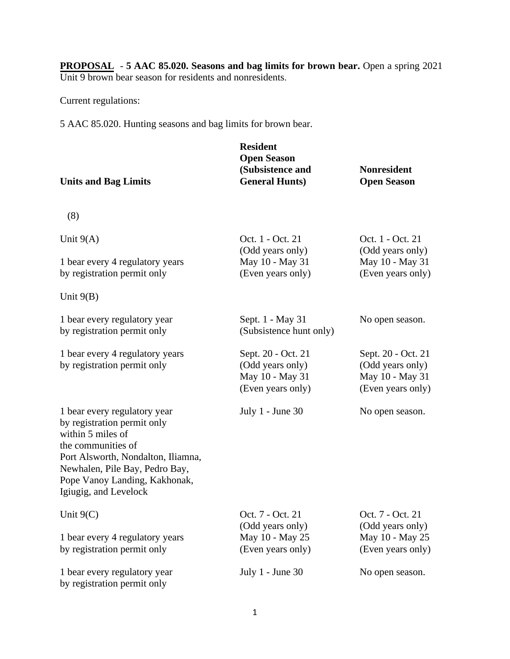**PROPOSAL** - **5 AAC 85.020. Seasons and bag limits for brown bear.** Open a spring 2021 Unit 9 brown bear season for residents and nonresidents.

Current regulations:

5 AAC 85.020. Hunting seasons and bag limits for brown bear.

| <b>Units and Bag Limits</b>                                                                                                                                                                                                              | <b>Resident</b><br><b>Open Season</b><br>(Subsistence and<br><b>General Hunts)</b> | <b>Nonresident</b><br><b>Open Season</b>                                       |
|------------------------------------------------------------------------------------------------------------------------------------------------------------------------------------------------------------------------------------------|------------------------------------------------------------------------------------|--------------------------------------------------------------------------------|
| (8)                                                                                                                                                                                                                                      |                                                                                    |                                                                                |
| Unit $9(A)$<br>1 bear every 4 regulatory years                                                                                                                                                                                           | Oct. 1 - Oct. 21<br>(Odd years only)<br>May 10 - May 31                            | Oct. 1 - Oct. 21<br>(Odd years only)<br>May 10 - May 31                        |
| by registration permit only                                                                                                                                                                                                              | (Even years only)                                                                  | (Even years only)                                                              |
| Unit $9(B)$                                                                                                                                                                                                                              |                                                                                    |                                                                                |
| 1 bear every regulatory year<br>by registration permit only                                                                                                                                                                              | Sept. 1 - May 31<br>(Subsistence hunt only)                                        | No open season.                                                                |
| 1 bear every 4 regulatory years<br>by registration permit only                                                                                                                                                                           | Sept. 20 - Oct. 21<br>(Odd years only)<br>May 10 - May 31<br>(Even years only)     | Sept. 20 - Oct. 21<br>(Odd years only)<br>May 10 - May 31<br>(Even years only) |
| 1 bear every regulatory year<br>by registration permit only<br>within 5 miles of<br>the communities of<br>Port Alsworth, Nondalton, Iliamna,<br>Newhalen, Pile Bay, Pedro Bay,<br>Pope Vanoy Landing, Kakhonak,<br>Igiugig, and Levelock | July 1 - June 30                                                                   | No open season.                                                                |
| Unit $9(C)$                                                                                                                                                                                                                              | Oct. 7 - Oct. 21                                                                   | Oct. 7 - Oct. 21                                                               |
| 1 bear every 4 regulatory years<br>by registration permit only                                                                                                                                                                           | (Odd years only)<br>May 10 - May 25<br>(Even years only)                           | (Odd years only)<br>May 10 - May 25<br>(Even years only)                       |
| 1 bear every regulatory year<br>by registration permit only                                                                                                                                                                              | July $1$ - June 30                                                                 | No open season.                                                                |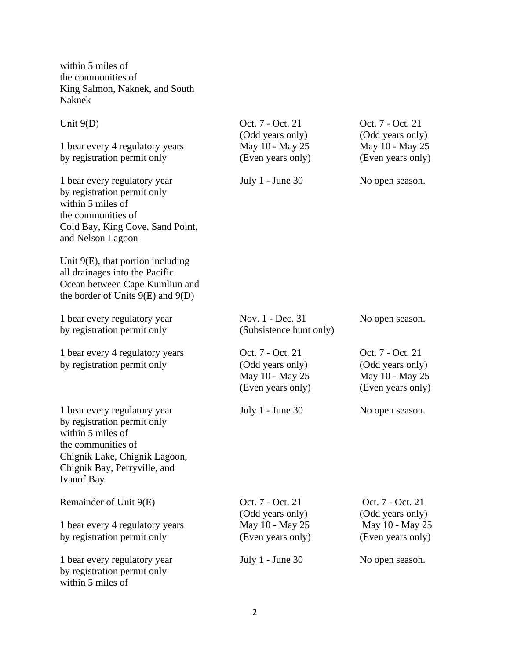within 5 miles of the communities of King Salmon, Naknek, and South Naknek

| Unit $9(D)$                                                                                                                                                                                  | Oct. 7 - Oct. 21<br>(Odd years only)                                         | Oct. 7 - Oct. 21<br>(Odd years only)                                         |
|----------------------------------------------------------------------------------------------------------------------------------------------------------------------------------------------|------------------------------------------------------------------------------|------------------------------------------------------------------------------|
| 1 bear every 4 regulatory years                                                                                                                                                              | May 10 - May 25                                                              | May 10 - May 25                                                              |
| by registration permit only                                                                                                                                                                  | (Even years only)                                                            | (Even years only)                                                            |
| 1 bear every regulatory year<br>by registration permit only<br>within 5 miles of<br>the communities of<br>Cold Bay, King Cove, Sand Point,<br>and Nelson Lagoon                              | July $1$ - June 30                                                           | No open season.                                                              |
| Unit $9(E)$ , that portion including<br>all drainages into the Pacific<br>Ocean between Cape Kumliun and<br>the border of Units $9(E)$ and $9(D)$                                            |                                                                              |                                                                              |
| 1 bear every regulatory year<br>by registration permit only                                                                                                                                  | Nov. 1 - Dec. 31<br>(Subsistence hunt only)                                  | No open season.                                                              |
| 1 bear every 4 regulatory years<br>by registration permit only                                                                                                                               | Oct. 7 - Oct. 21<br>(Odd years only)<br>May 10 - May 25<br>(Even years only) | Oct. 7 - Oct. 21<br>(Odd years only)<br>May 10 - May 25<br>(Even years only) |
| 1 bear every regulatory year<br>by registration permit only<br>within 5 miles of<br>the communities of<br>Chignik Lake, Chignik Lagoon,<br>Chignik Bay, Perryville, and<br><b>Ivanof Bay</b> | July $1$ - June 30                                                           | No open season.                                                              |
| Remainder of Unit 9(E)                                                                                                                                                                       | Oct. 7 - Oct. 21<br>(Odd years only)                                         | Oct. 7 - Oct. 21<br>(Odd years only)                                         |
| 1 bear every 4 regulatory years                                                                                                                                                              | May 10 - May 25                                                              | May 10 - May 25                                                              |
| by registration permit only                                                                                                                                                                  | (Even years only)                                                            | (Even years only)                                                            |
| 1 bear every regulatory year<br>by registration permit only<br>within 5 miles of                                                                                                             | July 1 - June 30                                                             | No open season.                                                              |